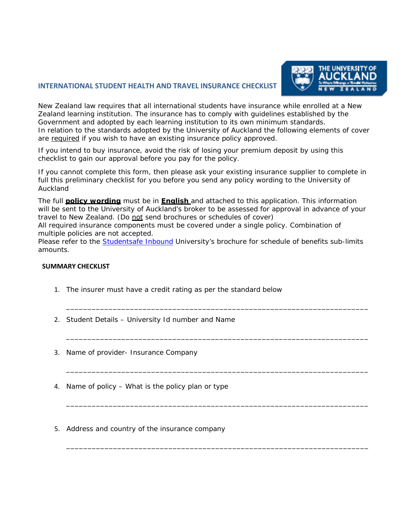## **INTERNATIONAL STUDENT HEALTH AND TRAVEL INSURANCE CHECKLIST**



New Zealand law requires that all international students have insurance while enrolled at a New Zealand learning institution. The insurance has to comply with guidelines established by the Government and adopted by each learning institution to its own minimum standards. In relation to the standards adopted by the University of Auckland the following elements of cover are required if you wish to have an existing insurance policy approved.

If you intend to buy insurance, avoid the risk of losing your premium deposit by using this checklist to gain our approval before you pay for the policy.

If you cannot complete this form, then please ask your existing insurance supplier to complete in full this preliminary checklist for you before you send any policy wording to the University of Auckland

The full **policy wording** must be in **English** and attached to this application. This information will be sent to the University of Auckland's broker to be assessed for approval in advance of your travel to New Zealand. (Do not send brochures or schedules of cover)

All required insurance components must be covered under a single policy. Combination of multiple policies are not accepted.

Please refer to the [Studentsafe Inbound](https://www.auckland.ac.nz/en/on-campus/student-support/personal-support/international-student-support/health-and-travel-insurance/studentsafe-university-policy.html) University's brochure for schedule of benefits sub-limits amounts.

\_\_\_\_\_\_\_\_\_\_\_\_\_\_\_\_\_\_\_\_\_\_\_\_\_\_\_\_\_\_\_\_\_\_\_\_\_\_\_\_\_\_\_\_\_\_\_\_\_\_\_\_\_\_\_\_\_\_\_\_\_\_\_\_\_\_\_\_\_\_\_

\_\_\_\_\_\_\_\_\_\_\_\_\_\_\_\_\_\_\_\_\_\_\_\_\_\_\_\_\_\_\_\_\_\_\_\_\_\_\_\_\_\_\_\_\_\_\_\_\_\_\_\_\_\_\_\_\_\_\_\_\_\_\_\_\_\_\_\_\_\_\_

\_\_\_\_\_\_\_\_\_\_\_\_\_\_\_\_\_\_\_\_\_\_\_\_\_\_\_\_\_\_\_\_\_\_\_\_\_\_\_\_\_\_\_\_\_\_\_\_\_\_\_\_\_\_\_\_\_\_\_\_\_\_\_\_\_\_\_\_\_\_\_

\_\_\_\_\_\_\_\_\_\_\_\_\_\_\_\_\_\_\_\_\_\_\_\_\_\_\_\_\_\_\_\_\_\_\_\_\_\_\_\_\_\_\_\_\_\_\_\_\_\_\_\_\_\_\_\_\_\_\_\_\_\_\_\_\_\_\_\_\_\_\_

\_\_\_\_\_\_\_\_\_\_\_\_\_\_\_\_\_\_\_\_\_\_\_\_\_\_\_\_\_\_\_\_\_\_\_\_\_\_\_\_\_\_\_\_\_\_\_\_\_\_\_\_\_\_\_\_\_\_\_\_\_\_\_\_\_\_\_\_\_\_\_

## **SUMMARY CHECKLIST**

- 1. The insurer must have a credit rating as per the standard below
- 2. Student Details University Id number and Name
- 3. Name of provider- Insurance Company
- 4. Name of policy What is the policy plan or type
- 5. Address and country of the insurance company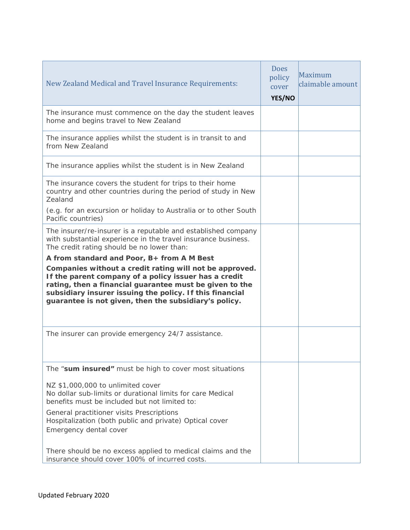| New Zealand Medical and Travel Insurance Requirements:                                                                                                                                                                                                                                                                                         | <b>Does</b><br>policy<br>cover<br>YES/NO | Maximum<br>claimable amount |
|------------------------------------------------------------------------------------------------------------------------------------------------------------------------------------------------------------------------------------------------------------------------------------------------------------------------------------------------|------------------------------------------|-----------------------------|
| The insurance must commence on the day the student leaves<br>home and begins travel to New Zealand                                                                                                                                                                                                                                             |                                          |                             |
| The insurance applies whilst the student is in transit to and<br>from New Zealand                                                                                                                                                                                                                                                              |                                          |                             |
| The insurance applies whilst the student is in New Zealand                                                                                                                                                                                                                                                                                     |                                          |                             |
| The insurance covers the student for trips to their home<br>country and other countries during the period of study in New<br>Zealand                                                                                                                                                                                                           |                                          |                             |
| (e.g. for an excursion or holiday to Australia or to other South<br>Pacific countries)                                                                                                                                                                                                                                                         |                                          |                             |
| The insurer/re-insurer is a reputable and established company<br>with substantial experience in the travel insurance business.<br>The credit rating should be no lower than:                                                                                                                                                                   |                                          |                             |
| A from standard and Poor, B+ from A M Best<br>Companies without a credit rating will not be approved.<br>If the parent company of a policy issuer has a credit<br>rating, then a financial guarantee must be given to the<br>subsidiary insurer issuing the policy. If this financial<br>guarantee is not given, then the subsidiary's policy. |                                          |                             |
| The insurer can provide emergency 24/7 assistance.                                                                                                                                                                                                                                                                                             |                                          |                             |
| The "sum insured" must be high to cover most situations                                                                                                                                                                                                                                                                                        |                                          |                             |
| NZ \$1,000,000 to unlimited cover<br>No dollar sub-limits or durational limits for care Medical<br>benefits must be included but not limited to:                                                                                                                                                                                               |                                          |                             |
| General practitioner visits Prescriptions<br>Hospitalization (both public and private) Optical cover<br>Emergency dental cover                                                                                                                                                                                                                 |                                          |                             |
| There should be no excess applied to medical claims and the<br>insurance should cover 100% of incurred costs.                                                                                                                                                                                                                                  |                                          |                             |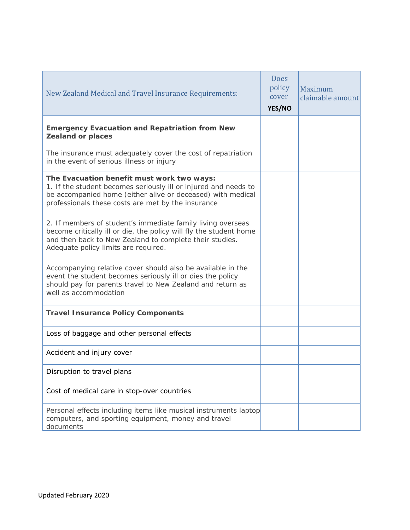| New Zealand Medical and Travel Insurance Requirements:                                                                                                                                                                               | <b>Does</b><br>policy<br>cover<br>YES/NO | Maximum<br>claimable amount |
|--------------------------------------------------------------------------------------------------------------------------------------------------------------------------------------------------------------------------------------|------------------------------------------|-----------------------------|
| <b>Emergency Evacuation and Repatriation from New</b><br><b>Zealand or places</b>                                                                                                                                                    |                                          |                             |
| The insurance must adequately cover the cost of repatriation<br>in the event of serious illness or injury                                                                                                                            |                                          |                             |
| The Evacuation benefit must work two ways:<br>1. If the student becomes seriously ill or injured and needs to<br>be accompanied home (either alive or deceased) with medical<br>professionals these costs are met by the insurance   |                                          |                             |
| 2. If members of student's immediate family living overseas<br>become critically ill or die, the policy will fly the student home<br>and then back to New Zealand to complete their studies.<br>Adequate policy limits are required. |                                          |                             |
| Accompanying relative cover should also be available in the<br>event the student becomes seriously ill or dies the policy<br>should pay for parents travel to New Zealand and return as<br>well as accommodation                     |                                          |                             |
| <b>Travel Insurance Policy Components</b>                                                                                                                                                                                            |                                          |                             |
| Loss of baggage and other personal effects                                                                                                                                                                                           |                                          |                             |
| Accident and injury cover                                                                                                                                                                                                            |                                          |                             |
| Disruption to travel plans                                                                                                                                                                                                           |                                          |                             |
| Cost of medical care in stop-over countries                                                                                                                                                                                          |                                          |                             |
| Personal effects including items like musical instruments laptop<br>computers, and sporting equipment, money and travel<br>documents                                                                                                 |                                          |                             |